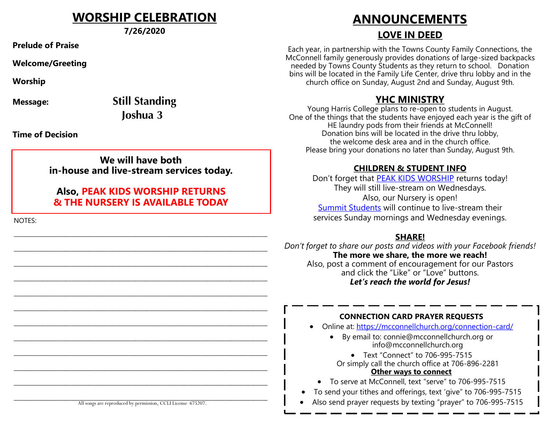## **WORSHIP CELEBRATION**

**7/26/2020** 

**Prelude of Praise**

**Welcome/Greeting**

**Worship**

**Message: Still Standing Joshua 3**

**Time of Decision**

**We will have both in-house and live-stream services today.**

**Also, PEAK KIDS WORSHIP RETURNS & THE NURSERY IS AVAILABLE TODAY**

\_\_\_\_\_\_\_\_\_\_\_\_\_\_\_\_\_\_\_\_\_\_\_\_\_\_\_\_\_\_\_\_\_\_\_\_\_\_\_\_\_\_\_\_\_\_\_\_\_\_\_\_\_\_\_\_\_\_\_\_\_\_\_\_\_\_\_\_\_\_\_\_\_\_\_\_\_\_\_\_\_\_\_\_\_\_\_\_

\_\_\_\_\_\_\_\_\_\_\_\_\_\_\_\_\_\_\_\_\_\_\_\_\_\_\_\_\_\_\_\_\_\_\_\_\_\_\_\_\_\_\_\_\_\_\_\_\_\_\_\_\_\_\_\_\_\_\_\_\_\_\_\_\_\_\_\_\_\_\_\_\_\_\_\_\_\_\_\_\_\_\_\_\_\_\_\_

\_\_\_\_\_\_\_\_\_\_\_\_\_\_\_\_\_\_\_\_\_\_\_\_\_\_\_\_\_\_\_\_\_\_\_\_\_\_\_\_\_\_\_\_\_\_\_\_\_\_\_\_\_\_\_\_\_\_\_\_\_\_\_\_\_\_\_\_\_\_\_\_\_\_\_\_\_\_\_\_\_\_\_\_\_\_\_\_

\_\_\_\_\_\_\_\_\_\_\_\_\_\_\_\_\_\_\_\_\_\_\_\_\_\_\_\_\_\_\_\_\_\_\_\_\_\_\_\_\_\_\_\_\_\_\_\_\_\_\_\_\_\_\_\_\_\_\_\_\_\_\_\_\_\_\_\_\_\_\_\_\_\_\_\_\_\_\_\_\_\_\_\_\_\_\_\_

\_\_\_\_\_\_\_\_\_\_\_\_\_\_\_\_\_\_\_\_\_\_\_\_\_\_\_\_\_\_\_\_\_\_\_\_\_\_\_\_\_\_\_\_\_\_\_\_\_\_\_\_\_\_\_\_\_\_\_\_\_\_\_\_\_\_\_\_\_\_\_\_\_\_\_\_\_\_\_\_\_\_\_\_\_\_\_\_

\_\_\_\_\_\_\_\_\_\_\_\_\_\_\_\_\_\_\_\_\_\_\_\_\_\_\_\_\_\_\_\_\_\_\_\_\_\_\_\_\_\_\_\_\_\_\_\_\_\_\_\_\_\_\_\_\_\_\_\_\_\_\_\_\_\_\_\_\_\_\_\_\_\_\_\_\_\_\_\_\_\_\_\_\_\_\_\_

\_\_\_\_\_\_\_\_\_\_\_\_\_\_\_\_\_\_\_\_\_\_\_\_\_\_\_\_\_\_\_\_\_\_\_\_\_\_\_\_\_\_\_\_\_\_\_\_\_\_\_\_\_\_\_\_\_\_\_\_\_\_\_\_\_\_\_\_\_\_\_\_\_\_\_\_\_\_\_\_\_\_\_\_\_\_\_\_

\_\_\_\_\_\_\_\_\_\_\_\_\_\_\_\_\_\_\_\_\_\_\_\_\_\_\_\_\_\_\_\_\_\_\_\_\_\_\_\_\_\_\_\_\_\_\_\_\_\_\_\_\_\_\_\_\_\_\_\_\_\_\_\_\_\_\_\_\_\_\_\_\_\_\_\_\_\_\_\_\_\_\_\_\_\_\_\_

\_\_\_\_\_\_\_\_\_\_\_\_\_\_\_\_\_\_\_\_\_\_\_\_\_\_\_\_\_\_\_\_\_\_\_\_\_\_\_\_\_\_\_\_\_\_\_\_\_\_\_\_\_\_\_\_\_\_\_\_\_\_\_\_\_\_\_\_\_\_\_\_\_\_\_\_\_\_\_\_\_\_\_\_\_\_\_\_

\_\_\_\_\_\_\_\_\_\_\_\_\_\_\_\_\_\_\_\_\_\_\_\_\_\_\_\_\_\_\_\_\_\_\_\_\_\_\_\_\_\_\_\_\_\_\_\_\_\_\_\_\_\_\_\_\_\_\_\_\_\_\_\_\_\_\_\_\_\_\_\_\_\_\_\_\_\_\_\_\_\_\_\_\_\_\_\_

\_\_\_\_\_\_\_\_\_\_\_\_\_\_\_\_\_\_\_\_\_\_\_\_\_\_\_\_\_\_\_\_\_\_\_\_\_\_\_\_\_\_\_\_\_\_\_\_\_\_\_\_\_\_\_\_\_\_\_\_\_\_\_\_\_\_\_\_\_\_\_\_\_\_\_\_\_\_\_\_\_\_\_\_\_\_\_\_

NOTES:

# **ANNOUNCEMENTS**

## **LOVE IN DEED**

Each year, in partnership with the Towns County Family Connections, the McConnell family generously provides donations of large-sized backpacks needed by Towns County Students as they return to school. Donation bins will be located in the Family Life Center, drive thru lobby and in the church office on Sunday, August 2nd and Sunday, August 9th.

## **YHC MINISTRY**

Young Harris College plans to re-open to students in August. One of the things that the students have enjoyed each year is the gift of HE laundry pods from their friends at McConnell! Donation bins will be located in the drive thru lobby, the welcome desk area and in the church office. Please bring your donations no later than Sunday, August 9th.

### **CHILDREN & STUDENT INFO**

Don't forget that [PEAK KIDS WORSHIP](https://www.facebook.com/groups/2000133416757334/) returns today! They will still live-stream on Wednesdays. Also, our Nursery is open! [Summit Students](https://www.facebook.com/summitstudents1/) will continue to live-stream their services Sunday mornings and Wednesday evenings.

#### **SHARE!**

*Don't forget to share our posts and videos with your Facebook friends!*  **The more we share, the more we reach!** Also, post a comment of encouragement for our Pastors and click the "Like" or "Love" buttons. *Let's reach the world for Jesus!*

| <b>CONNECTION CARD PRAYER REQUESTS</b>                                                                                   |
|--------------------------------------------------------------------------------------------------------------------------|
| Online at: https://mcconnellchurch.org/connection-card/<br>$\bullet$                                                     |
| By email to: connie@mcconnellchurch.org or<br>info@mcconnellchurch.org                                                   |
| Text "Connect" to 706-995-7515<br>$\bullet$<br>Or simply call the church office at 706-896-2281<br>Other ways to connect |
| To serve at McConnell, text "serve" to 706-995-7515<br>$\bullet$                                                         |
| To send your tithes and offerings, text 'give" to 706-995-7515                                                           |
| Also send prayer requests by texting "prayer" to 706-995-7515                                                            |

 All songs are reproduced by permission, CCLI License 675207. \_\_\_\_\_\_\_\_\_\_\_\_\_\_\_\_\_\_\_\_\_\_\_\_\_\_\_\_\_\_\_\_\_\_\_\_\_\_\_\_\_\_\_\_\_\_\_\_\_\_\_\_\_\_\_\_\_\_\_\_\_\_\_\_\_\_\_\_\_\_\_\_\_\_\_\_\_\_\_\_\_\_\_\_\_\_\_\_